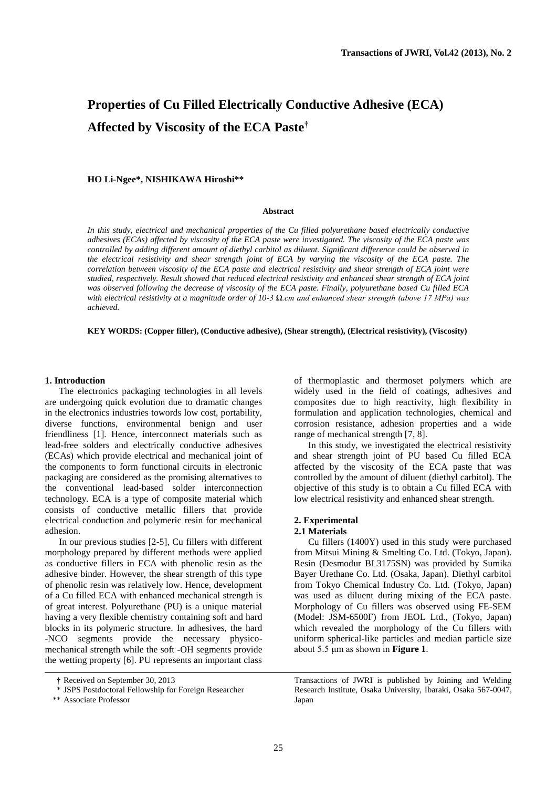# **Properties of Cu Filled Electrically Conductive Adhesive (ECA) Affected by Viscosity of the ECA Paste†**

# **HO Li-Ngee\*, NISHIKAWA Hiroshi\*\***

# **Abstract**

*In this study, electrical and mechanical properties of the Cu filled polyurethane based electrically conductive adhesives (ECAs) affected by viscosity of the ECA paste were investigated. The viscosity of the ECA paste was controlled by adding different amount of diethyl carbitol as diluent. Significant difference could be observed in the electrical resistivity and shear strength joint of ECA by varying the viscosity of the ECA paste. The correlation between viscosity of the ECA paste and electrical resistivity and shear strength of ECA joint were studied, respectively. Result showed that reduced electrical resistivity and enhanced shear strength of ECA joint was observed following the decrease of viscosity of the ECA paste. Finally, polyurethane based Cu filled ECA with electrical resistivity at a magnitude order of 10-3 Ω.cm and enhanced shear strength (above 17 MPa) was achieved.* 

**KEY WORDS: (Copper filler), (Conductive adhesive), (Shear strength), (Electrical resistivity), (Viscosity)** 

#### **1. Introduction**

The electronics packaging technologies in all levels are undergoing quick evolution due to dramatic changes in the electronics industries towords low cost, portability, diverse functions, environmental benign and user friendliness [1]. Hence, interconnect materials such as lead-free solders and electrically conductive adhesives (ECAs) which provide electrical and mechanical joint of the components to form functional circuits in electronic packaging are considered as the promising alternatives to the conventional lead-based solder interconnection technology. ECA is a type of composite material which consists of conductive metallic fillers that provide electrical conduction and polymeric resin for mechanical adhesion.

In our previous studies [2-5], Cu fillers with different morphology prepared by different methods were applied as conductive fillers in ECA with phenolic resin as the adhesive binder. However, the shear strength of this type of phenolic resin was relatively low. Hence, development of a Cu filled ECA with enhanced mechanical strength is of great interest. Polyurethane (PU) is a unique material having a very flexible chemistry containing soft and hard blocks in its polymeric structure. In adhesives, the hard -NCO segments provide the necessary physicomechanical strength while the soft -OH segments provide the wetting property [6]. PU represents an important class of thermoplastic and thermoset polymers which are widely used in the field of coatings, adhesives and composites due to high reactivity, high flexibility in formulation and application technologies, chemical and corrosion resistance, adhesion properties and a wide range of mechanical strength [7, 8].

In this study, we investigated the electrical resistivity and shear strength joint of PU based Cu filled ECA affected by the viscosity of the ECA paste that was controlled by the amount of diluent (diethyl carbitol). The objective of this study is to obtain a Cu filled ECA with low electrical resistivity and enhanced shear strength.

# **2. Experimental**

## **2.1 Materials**

Cu fillers (1400Y) used in this study were purchased from Mitsui Mining & Smelting Co. Ltd. (Tokyo, Japan). Resin (Desmodur BL3175SN) was provided by Sumika Bayer Urethane Co. Ltd. (Osaka, Japan). Diethyl carbitol from Tokyo Chemical Industry Co. Ltd. (Tokyo, Japan) was used as diluent during mixing of the ECA paste. Morphology of Cu fillers was observed using FE-SEM (Model: JSM-6500F) from JEOL Ltd., (Tokyo, Japan) which revealed the morphology of the Cu fillers with uniform spherical-like particles and median particle size about 5.5 μm as shown in **Figure 1**.

Transactions of JWRI is published by Joining and Welding Research Institute, Osaka University, Ibaraki, Osaka 567-0047, Japan

**<sup>†</sup>** Received on September 30, 2013

 <sup>\*</sup> JSPS Postdoctoral Fellowship for Foreign Researcher

 <sup>\*\*</sup> Associate Professor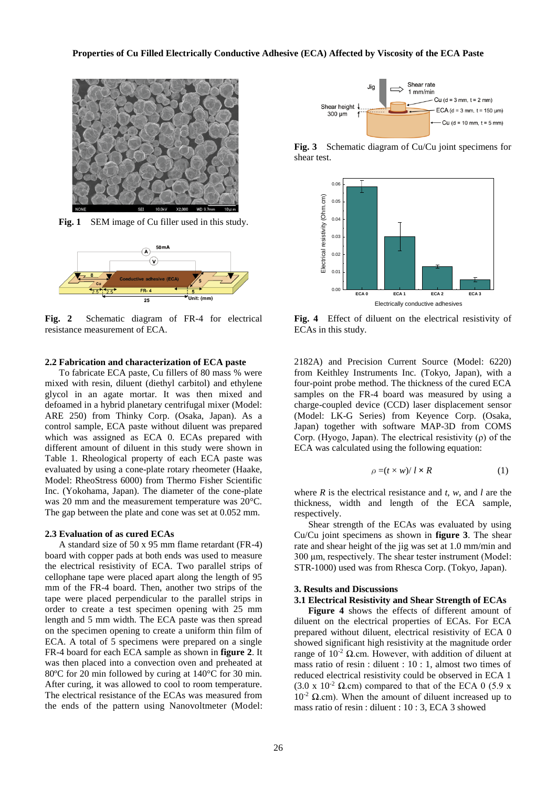

Fig. 1 SEM image of Cu filler used in this study.



**Fig. 2** Schematic diagram of FR-4 for electrical resistance measurement of ECA.

#### **2.2 Fabrication and characterization of ECA paste**

To fabricate ECA paste, Cu fillers of 80 mass % were mixed with resin, diluent (diethyl carbitol) and ethylene glycol in an agate mortar. It was then mixed and defoamed in a hybrid planetary centrifugal mixer (Model: ARE 250) from Thinky Corp. (Osaka, Japan). As a control sample, ECA paste without diluent was prepared which was assigned as ECA 0. ECAs prepared with different amount of diluent in this study were shown in Table 1. Rheological property of each ECA paste was evaluated by using a cone-plate rotary rheometer (Haake, Model: RheoStress 6000) from Thermo Fisher Scientific Inc. (Yokohama, Japan). The diameter of the cone-plate was 20 mm and the measurement temperature was 20°C. The gap between the plate and cone was set at 0.052 mm.

#### **2.3 Evaluation of as cured ECAs**

A standard size of 50 x 95 mm flame retardant (FR-4) board with copper pads at both ends was used to measure the electrical resistivity of ECA. Two parallel strips of cellophane tape were placed apart along the length of 95 mm of the FR-4 board. Then, another two strips of the tape were placed perpendicular to the parallel strips in order to create a test specimen opening with 25 mm length and 5 mm width. The ECA paste was then spread on the specimen opening to create a uniform thin film of ECA. A total of 5 specimens were prepared on a single FR-4 board for each ECA sample as shown in **figure 2**. It was then placed into a convection oven and preheated at 80°C for 20 min followed by curing at 140°C for 30 min. After curing, it was allowed to cool to room temperature. The electrical resistance of the ECAs was measured from the ends of the pattern using Nanovoltmeter (Model:



**Fig. 3** Schematic diagram of Cu/Cu joint specimens for shear test.



**Fig. 4** Effect of diluent on the electrical resistivity of ECAs in this study.

2182A) and Precision Current Source (Model: 6220) from Keithley Instruments Inc. (Tokyo, Japan), with a four-point probe method. The thickness of the cured ECA samples on the FR-4 board was measured by using a charge-coupled device (CCD) laser displacement sensor (Model: LK-G Series) from Keyence Corp. (Osaka, Japan) together with software MAP-3D from COMS Corp. (Hyogo, Japan). The electrical resistivity (ρ) of the ECA was calculated using the following equation:

$$
\rho = (t \times w) / l \times R \tag{1}
$$

where *R* is the electrical resistance and *t*, *w*, and *l* are the thickness, width and length of the ECA sample, respectively.

 Shear strength of the ECAs was evaluated by using Cu/Cu joint specimens as shown in **figure 3**. The shear rate and shear height of the jig was set at 1.0 mm/min and 300 μm, respectively. The shear tester instrument (Model: STR-1000) used was from Rhesca Corp. (Tokyo, Japan).

## **3. Results and Discussions**

#### **3.1 Electrical Resistivity and Shear Strength of ECAs**

**Figure 4** shows the effects of different amount of diluent on the electrical properties of ECAs. For ECA prepared without diluent, electrical resistivity of ECA 0 showed significant high resistivity at the magnitude order range of  $10^{-2}$  Ω.cm. However, with addition of diluent at mass ratio of resin : diluent : 10 : 1, almost two times of reduced electrical resistivity could be observed in ECA 1 (3.0 x  $10^{-2}$  Q,cm) compared to that of the ECA 0 (5.9 x  $10^{-2}$  Ω.cm). When the amount of diluent increased up to mass ratio of resin : diluent : 10 : 3, ECA 3 showed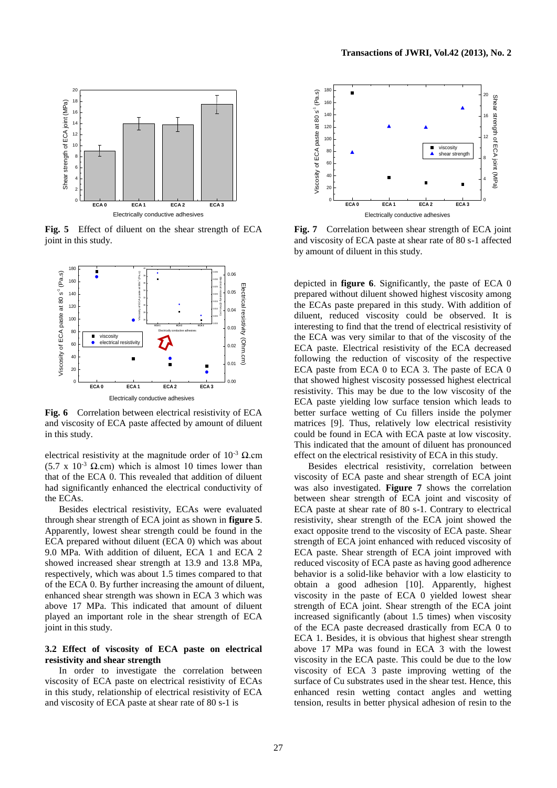

**Fig. 5** Effect of diluent on the shear strength of ECA joint in this study.



**Fig. 6** Correlation between electrical resistivity of ECA and viscosity of ECA paste affected by amount of diluent in this study.

electrical resistivity at the magnitude order of  $10^{-3}$   $\Omega$ .cm (5.7 x  $10^{-3}$  Q.cm) which is almost 10 times lower than that of the ECA 0. This revealed that addition of diluent had significantly enhanced the electrical conductivity of the ECAs.

Besides electrical resistivity, ECAs were evaluated through shear strength of ECA joint as shown in **figure 5**. Apparently, lowest shear strength could be found in the ECA prepared without diluent (ECA 0) which was about 9.0 MPa. With addition of diluent, ECA 1 and ECA 2 showed increased shear strength at 13.9 and 13.8 MPa, respectively, which was about 1.5 times compared to that of the ECA 0. By further increasing the amount of diluent, enhanced shear strength was shown in ECA 3 which was above 17 MPa. This indicated that amount of diluent played an important role in the shear strength of ECA joint in this study.

# **3.2 Effect of viscosity of ECA paste on electrical resistivity and shear strength**

In order to investigate the correlation between viscosity of ECA paste on electrical resistivity of ECAs in this study, relationship of electrical resistivity of ECA and viscosity of ECA paste at shear rate of 80 s-1 is



**Fig. 7** Correlation between shear strength of ECA joint and viscosity of ECA paste at shear rate of 80 s-1 affected by amount of diluent in this study.

depicted in **figure 6**. Significantly, the paste of ECA 0 prepared without diluent showed highest viscosity among the ECAs paste prepared in this study. With addition of diluent, reduced viscosity could be observed. It is interesting to find that the trend of electrical resistivity of the ECA was very similar to that of the viscosity of the ECA paste. Electrical resistivity of the ECA decreased following the reduction of viscosity of the respective ECA paste from ECA 0 to ECA 3. The paste of ECA 0 that showed highest viscosity possessed highest electrical resistivity. This may be due to the low viscosity of the ECA paste yielding low surface tension which leads to better surface wetting of Cu fillers inside the polymer matrices [9]. Thus, relatively low electrical resistivity could be found in ECA with ECA paste at low viscosity. This indicated that the amount of diluent has pronounced effect on the electrical resistivity of ECA in this study.

Besides electrical resistivity, correlation between viscosity of ECA paste and shear strength of ECA joint was also investigated. **Figure 7** shows the correlation between shear strength of ECA joint and viscosity of ECA paste at shear rate of 80 s-1. Contrary to electrical resistivity, shear strength of the ECA joint showed the exact opposite trend to the viscosity of ECA paste. Shear strength of ECA joint enhanced with reduced viscosity of ECA paste. Shear strength of ECA joint improved with reduced viscosity of ECA paste as having good adherence behavior is a solid-like behavior with a low elasticity to obtain a good adhesion [10]. Apparently, highest viscosity in the paste of ECA 0 yielded lowest shear strength of ECA joint. Shear strength of the ECA joint increased significantly (about 1.5 times) when viscosity of the ECA paste decreased drastically from ECA 0 to ECA 1. Besides, it is obvious that highest shear strength above 17 MPa was found in ECA 3 with the lowest viscosity in the ECA paste. This could be due to the low viscosity of ECA 3 paste improving wetting of the surface of Cu substrates used in the shear test. Hence, this enhanced resin wetting contact angles and wetting tension, results in better physical adhesion of resin to the